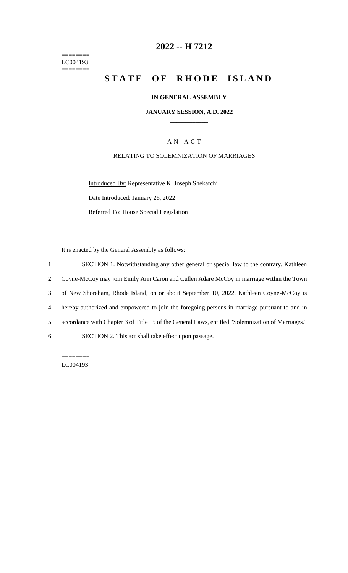======== LC004193  $=$ 

# **2022 -- H 7212**

# **STATE OF RHODE ISLAND**

#### **IN GENERAL ASSEMBLY**

#### **JANUARY SESSION, A.D. 2022 \_\_\_\_\_\_\_\_\_\_\_\_**

### A N A C T

### RELATING TO SOLEMNIZATION OF MARRIAGES

Introduced By: Representative K. Joseph Shekarchi Date Introduced: January 26, 2022 Referred To: House Special Legislation

It is enacted by the General Assembly as follows:

 SECTION 1. Notwithstanding any other general or special law to the contrary, Kathleen Coyne-McCoy may join Emily Ann Caron and Cullen Adare McCoy in marriage within the Town of New Shoreham, Rhode Island, on or about September 10, 2022. Kathleen Coyne-McCoy is hereby authorized and empowered to join the foregoing persons in marriage pursuant to and in accordance with Chapter 3 of Title 15 of the General Laws, entitled "Solemnization of Marriages." SECTION 2. This act shall take effect upon passage.

======== LC004193 ========